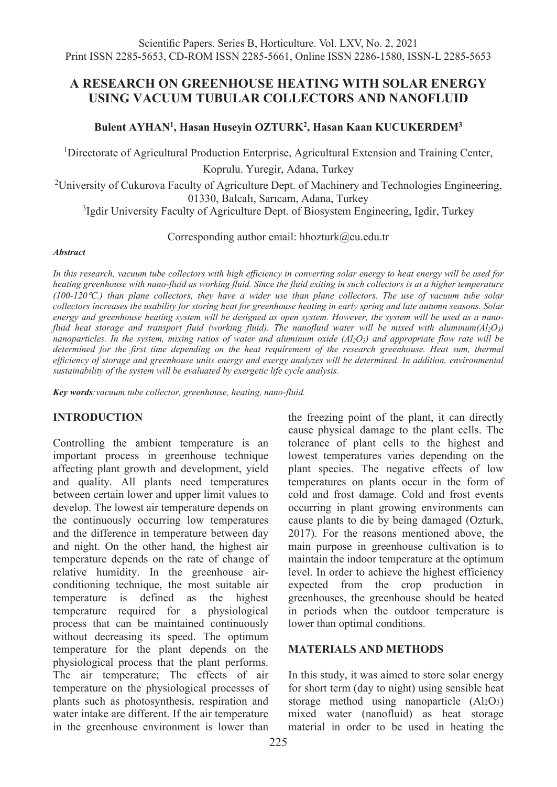# **A RESEARCH ON GREENHOUSE HEATING WITH SOLAR ENERGY USING VACUUM TUBULAR COLLECTORS AND NANOFLUID**

# **Bulent AYHAN1, Hasan Huseyin OZTURK2 , Hasan Kaan KUCUKERDEM3**

<sup>1</sup>Directorate of Agricultural Production Enterprise, Agricultural Extension and Training Center,

Koprulu. Yuregir, Adana, Turkey

<sup>2</sup>University of Cukurova Faculty of Agriculture Dept. of Machinery and Technologies Engineering,

01330, Balcalı, Sarıcam, Adana, Turkey 3 Igdir University Faculty of Agriculture Dept. of Biosystem Engineering, Igdir, Turkey

Corresponding author email: hhozturk@cu.edu.tr

#### *Abstract*

*In this research, vacuum tube collectors with high efficiency in converting solar energy to heat energy will be used for heating greenhouse with nano-fluid as working fluid. Since the fluid exiting in such collectors is at a higher temperature (100-120*°*C.) than plane collectors, they have a wider use than plane collectors. The use of vacuum tube solar collectors increases the usability for storing heat for greenhouse heating in early spring and late autumn seasons. Solar energy and greenhouse heating system will be designed as open system. However, the system will be used as a nanofluid heat storage and transport fluid (working fluid). The nanofluid water will be mixed with aluminum* $(A<sub>1</sub>O<sub>3</sub>)$ *nanoparticles. In the system, mixing ratios of water and aluminum oxide (Al2O3) and appropriate flow rate will be determined for the first time depending on the heat requirement of the research greenhouse. Heat sum, thermal efficiency of storage and greenhouse units energy and exergy analyzes will be determined. In addition, environmental sustainability of the system will be evaluated by exergetic life cycle analysis.*

*Key words:vacuum tube collector, greenhouse, heating, nano-fluid.*

## **INTRODUCTION**

Controlling the ambient temperature is an important process in greenhouse technique affecting plant growth and development, yield and quality. All plants need temperatures between certain lower and upper limit values to develop. The lowest air temperature depends on the continuously occurring low temperatures and the difference in temperature between day and night. On the other hand, the highest air temperature depends on the rate of change of relative humidity. In the greenhouse airconditioning technique, the most suitable air temperature is defined as the highest temperature required for a physiological process that can be maintained continuously without decreasing its speed. The optimum temperature for the plant depends on the physiological process that the plant performs. The air temperature; The effects of air temperature on the physiological processes of plants such as photosynthesis, respiration and water intake are different. If the air temperature in the greenhouse environment is lower than

the freezing point of the plant, it can directly cause physical damage to the plant cells. The tolerance of plant cells to the highest and lowest temperatures varies depending on the plant species. The negative effects of low temperatures on plants occur in the form of cold and frost damage. Cold and frost events occurring in plant growing environments can cause plants to die by being damaged (Ozturk, 2017). For the reasons mentioned above, the main purpose in greenhouse cultivation is to maintain the indoor temperature at the optimum level. In order to achieve the highest efficiency expected from the crop production in greenhouses, the greenhouse should be heated in periods when the outdoor temperature is lower than optimal conditions.

## **MATERIALS AND METHODS**

In this study, it was aimed to store solar energy for short term (day to night) using sensible heat storage method using nanoparticle  $(A_2O_3)$ mixed water (nanofluid) as heat storage material in order to be used in heating the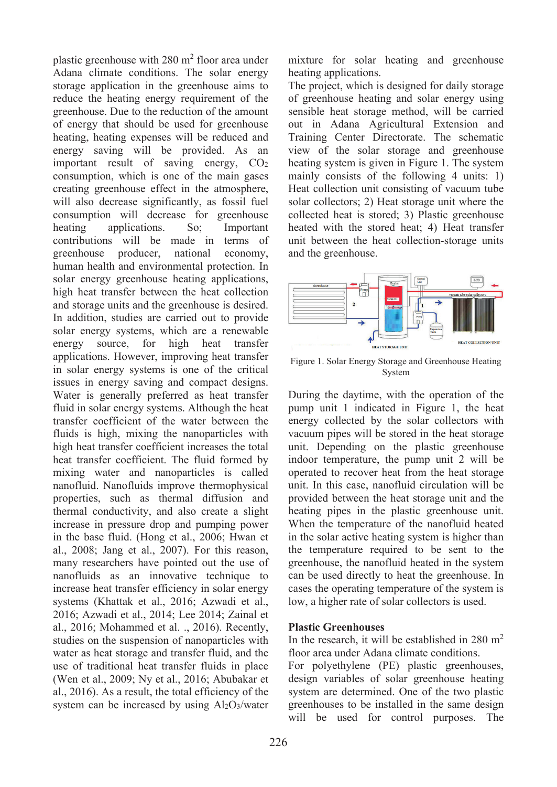plastic greenhouse with  $280 \text{ m}^2$  floor area under Adana climate conditions. The solar energy storage application in the greenhouse aims to reduce the heating energy requirement of the greenhouse. Due to the reduction of the amount of energy that should be used for greenhouse heating, heating expenses will be reduced and energy saving will be provided. As an important result of saving energy, CO<sub>2</sub> consumption, which is one of the main gases creating greenhouse effect in the atmosphere, will also decrease significantly, as fossil fuel consumption will decrease for greenhouse heating applications. So: Important contributions will be made in terms of greenhouse producer, national economy, greenhouse producer, national economy, human health and environmental protection. In solar energy greenhouse heating applications, high heat transfer between the heat collection and storage units and the greenhouse is desired. In addition, studies are carried out to provide solar energy systems, which are a renewable energy source, for high heat transfer applications. However, improving heat transfer in solar energy systems is one of the critical issues in energy saving and compact designs. Water is generally preferred as heat transfer fluid in solar energy systems. Although the heat transfer coefficient of the water between the fluids is high, mixing the nanoparticles with high heat transfer coefficient increases the total heat transfer coefficient. The fluid formed by mixing water and nanoparticles is called nanofluid. Nanofluids improve thermophysical properties, such as thermal diffusion and thermal conductivity, and also create a slight increase in pressure drop and pumping power in the base fluid. (Hong et al., 2006; Hwan et al., 2008; Jang et al., 2007). For this reason, many researchers have pointed out the use of nanofluids as an innovative technique to increase heat transfer efficiency in solar energy systems (Khattak et al., 2016; Azwadi et al., 2016; Azwadi et al., 2014; Lee 2014; Zainal et al., 2016; Mohammed et al. ., 2016). Recently, studies on the suspension of nanoparticles with water as heat storage and transfer fluid, and the use of traditional heat transfer fluids in place (Wen et al., 2009; Ny et al., 2016; Abubakar et al., 2016). As a result, the total efficiency of the system can be increased by using Al2O3/water

mixture for solar heating and greenhouse heating applications.

The project, which is designed for daily storage of greenhouse heating and solar energy using sensible heat storage method, will be carried out in Adana Agricultural Extension and Training Center Directorate. The schematic view of the solar storage and greenhouse heating system is given in Figure 1. The system mainly consists of the following 4 units: 1) Heat collection unit consisting of vacuum tube solar collectors; 2) Heat storage unit where the collected heat is stored; 3) Plastic greenhouse heated with the stored heat; 4) Heat transfer unit between the heat collection-storage units and the greenhouse.



Figure 1. Solar Energy Storage and Greenhouse Heating System

During the daytime, with the operation of the pump unit 1 indicated in Figure 1, the heat energy collected by the solar collectors with vacuum pipes will be stored in the heat storage unit. Depending on the plastic greenhouse indoor temperature, the pump unit 2 will be operated to recover heat from the heat storage unit. In this case, nanofluid circulation will be provided between the heat storage unit and the heating pipes in the plastic greenhouse unit. When the temperature of the nanofluid heated in the solar active heating system is higher than the temperature required to be sent to the greenhouse, the nanofluid heated in the system can be used directly to heat the greenhouse. In cases the operating temperature of the system is low, a higher rate of solar collectors is used.

## **Plastic Greenhouses**

In the research, it will be established in  $280 \text{ m}^2$ floor area under Adana climate conditions.

For polyethylene (PE) plastic greenhouses, design variables of solar greenhouse heating system are determined. One of the two plastic greenhouses to be installed in the same design will be used for control purposes. The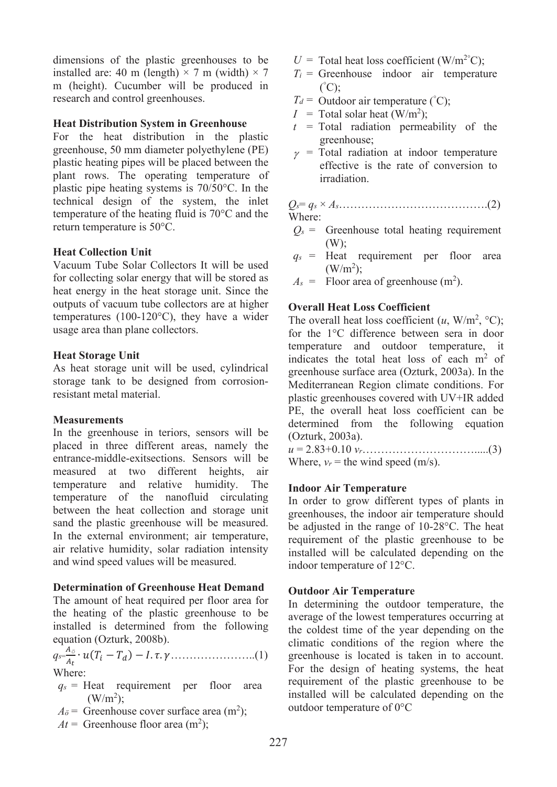dimensions of the plastic greenhouses to be installed are: 40 m (length)  $\times$  7 m (width)  $\times$  7 m (height). Cucumber will be produced in research and control greenhouses.

## **Heat Distribution System in Greenhouse**

For the heat distribution in the plastic greenhouse, 50 mm diameter polyethylene (PE) plastic heating pipes will be placed between the plant rows. The operating temperature of plastic pipe heating systems is 70/50°C. In the technical design of the system, the inlet temperature of the heating fluid is 70°C and the return temperature is 50°C.

#### **Heat Collection Unit**

Vacuum Tube Solar Collectors It will be used for collecting solar energy that will be stored as heat energy in the heat storage unit. Since the outputs of vacuum tube collectors are at higher temperatures (100-120°C), they have a wider usage area than plane collectors.

#### **Heat Storage Unit**

As heat storage unit will be used, cylindrical storage tank to be designed from corrosionresistant metal material.

#### **Measurements**

In the greenhouse in teriors, sensors will be placed in three different areas, namely the entrance-middle-exitsections. Sensors will be measured at two different heights, air temperature and relative humidity. The temperature of the nanofluid circulating between the heat collection and storage unit sand the plastic greenhouse will be measured. In the external environment; air temperature, air relative humidity, solar radiation intensity and wind speed values will be measured.

#### **Determination of Greenhouse Heat Demand**

The amount of heat required per floor area for the heating of the plastic greenhouse to be installed is determined from the following equation (Ozturk, 2008b).

*qs*<sup>=</sup> *ö* ∙ ( − ) − . . …………………..(1) Where:

- $q_s$  = Heat requirement per floor area  $(W/m^2);$
- $A_{\ddot{o}}$  = Greenhouse cover surface area (m<sup>2</sup>);
- $At =$  Greenhouse floor area (m<sup>2</sup>);
- $U = \text{Total heat loss coefficient (W/m<sup>2</sup>°C)}$ ;
- $T_i$  = Greenhouse indoor air temperature ( ° C);
- $T_d$  = Outdoor air temperature (°C);
- $I = \text{Total solar heat (W/m}^2);$
- $t =$ Total radiation permeability of the greenhouse;
- $\gamma$  = Total radiation at indoor temperature effective is the rate of conversion to irradiation.

*Qs*= *qs* × *As*………………………………….(2) Where:

- $Q_s$  = Greenhouse total heating requirement (W);
- *qs* = Heat requirement per floor area  $(W/m^2);$
- $A_s$  = Floor area of greenhouse  $(m^2)$ .

## **Overall Heat Loss Coefficient**

The overall heat loss coefficient  $(u, W/m^2, {}^{\circ}C);$ for the 1°C difference between sera in door temperature and outdoor temperature, it indicates the total heat loss of each  $m<sup>2</sup>$  of greenhouse surface area (Ozturk, 2003a). In the Mediterranean Region climate conditions. For plastic greenhouses covered with UV+IR added PE, the overall heat loss coefficient can be determined from the following equation (Ozturk, 2003a).

*u* = 2.83+0.10 *vr*………………………….....(3) Where,  $v_r$  = the wind speed (m/s).

#### **Indoor Air Temperature**

In order to grow different types of plants in greenhouses, the indoor air temperature should be adjusted in the range of 10-28°C. The heat requirement of the plastic greenhouse to be installed will be calculated depending on the indoor temperature of 12°C.

#### **Outdoor Air Temperature**

In determining the outdoor temperature, the average of the lowest temperatures occurring at the coldest time of the year depending on the climatic conditions of the region where the greenhouse is located is taken in to account. For the design of heating systems, the heat requirement of the plastic greenhouse to be installed will be calculated depending on the outdoor temperature of 0°C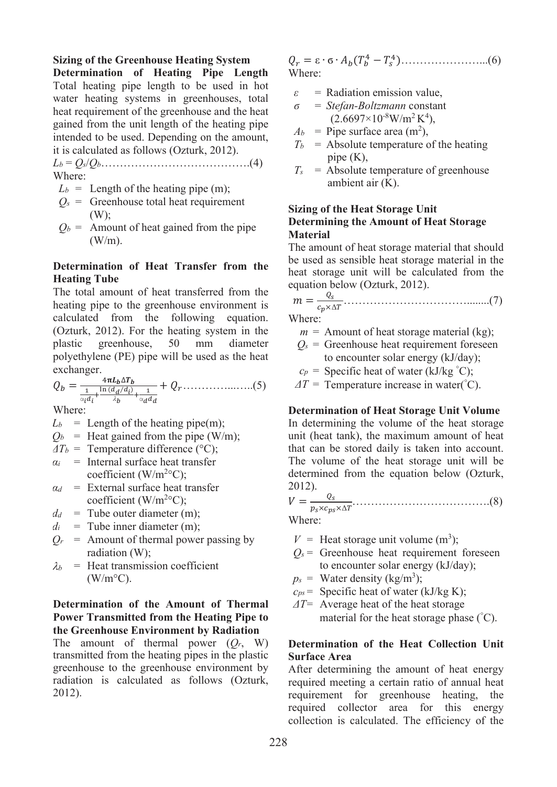#### **Sizing of the Greenhouse Heating System**

**Determination of Heating Pipe Length** Total heating pipe length to be used in hot water heating systems in greenhouses, total heat requirement of the greenhouse and the heat gained from the unit length of the heating pipe intended to be used. Depending on the amount, it is calculated as follows (Ozturk, 2012).

*Lb* = *Qs*/*Qb*………………………………….(4) Where:

- $L_b$  = Length of the heating pipe (m);
- $Q_s$  = Greenhouse total heat requirement (W);
- $Q_b$  = Amount of heat gained from the pipe  $(W/m)$ .

## **Determination of Heat Transfer from the Heating Tube**

The total amount of heat transferred from the heating pipe to the greenhouse environment is calculated from the following equation. (Ozturk, 2012). For the heating system in the plastic greenhouse, 50 mm diameter polyethylene (PE) pipe will be used as the heat exchanger.

 <sup>=</sup> 4∆ 1 α +ln ( <sup>⁄</sup> ) <sup>λ</sup> <sup>+</sup> <sup>1</sup> α + …………...…..(5)

Where:

 $L_b$  = Length of the heating pipe(m);

- $Q_b$  = Heat gained from the pipe (W/m);
- $\Delta T_b$  = Temperature difference (°C);
- $\alpha_i$  = Internal surface heat transfer coefficient (W/m<sup>2o</sup>C);
- *α<sup>d</sup>* = External surface heat transfer coefficient ( $W/m^{20}C$ );
- $d_d$  = Tube outer diameter (m);
- $d_i$  = Tube inner diameter (m);
- $Q_r$  = Amount of thermal power passing by radiation (W);
- $\lambda_b$  = Heat transmission coefficient  $(W/m^{\circ}C)$ .

## **Determination of the Amount of Thermal Power Transmitted from the Heating Pipe to the Greenhouse Environment by Radiation**

The amount of thermal power  $(Q_r, W)$ transmitted from the heating pipes in the plastic greenhouse to the greenhouse environment by radiation is calculated as follows (Ozturk, 2012).

 = ε ∙ ϭ ∙ ( <sup>4</sup> − <sup>4</sup>)…………………...(6) Where:

- *ε* = Radiation emission value,
- *ϭ* = *Stefan-Boltzmann* constant  $(2.6697\times10^{8} \text{W/m}^{2}\text{K}^{4}),$
- $A_b$  = Pipe surface area (m<sup>2</sup>),
- $T_b$  = Absolute temperature of the heating pipe (K),
- $T_s$  = Absolute temperature of greenhouse ambient air (K).

## **Sizing of the Heat Storage Unit Determining the Amount of Heat Storage Material**

The amount of heat storage material that should be used as sensible heat storage material in the heat storage unit will be calculated from the equation below (Ozturk, 2012).

 = ×Δ ……………………………........(7)

Where:

- $m =$  Amount of heat storage material (kg);
- $Q_s$  = Greenhouse heat requirement foreseen to encounter solar energy (kJ/day);
- $c_p$  = Specific heat of water (kJ/kg  $\degree$ C);

 $\Delta T$  = Temperature increase in water(°C).

#### **Determination of Heat Storage Unit Volume**

In determining the volume of the heat storage unit (heat tank), the maximum amount of heat that can be stored daily is taken into account. The volume of the heat storage unit will be determined from the equation below (Ozturk, 2012).

 = ××Δ ……………………………….(8)

Where:

- $V =$  Heat storage unit volume (m<sup>3</sup>);
- $Q_s$  = Greenhouse heat requirement foreseen to encounter solar energy (kJ/day);
- $p_s$  = Water density (kg/m<sup>3</sup>);
- $c_{ps}$  = Specific heat of water (kJ/kg K);
- *ΔT*= Average heat of the heat storage material for the heat storage phase (° C).

## **Determination of the Heat Collection Unit Surface Area**

After determining the amount of heat energy required meeting a certain ratio of annual heat requirement for greenhouse heating, the required collector area for this energy collection is calculated. The efficiency of the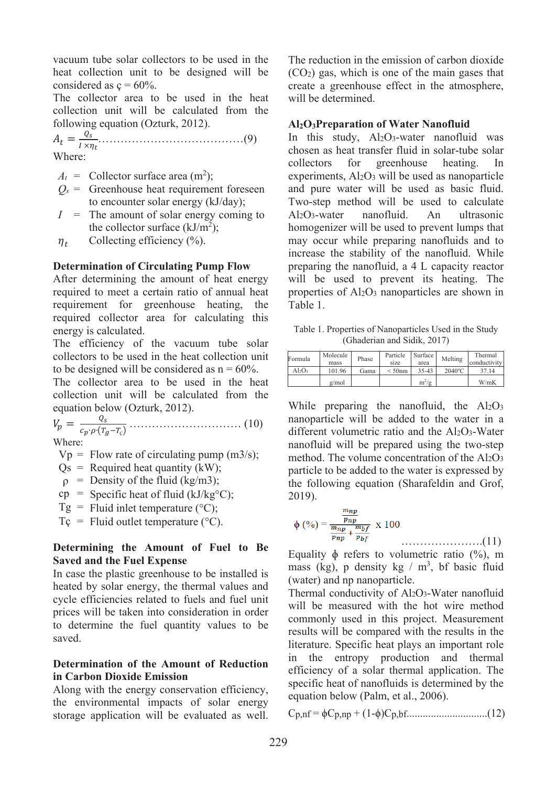vacuum tube solar collectors to be used in the heat collection unit to be designed will be considered as  $c = 60\%$ .

The collector area to be used in the heat collection unit will be calculated from the following equation (Ozturk, 2012).

 <sup>=</sup> × …………………………………(9) Where:

 $A_t$  = Collector surface area (m<sup>2</sup>);

- $Q_s$  = Greenhouse heat requirement foreseen to encounter solar energy (kJ/day);
- $I =$  The amount of solar energy coming to the collector surface  $(kJ/m^2)$ ;
- $\eta_t$  Collecting efficiency (%).

#### **Determination of Circulating Pump Flow**

After determining the amount of heat energy required to meet a certain ratio of annual heat requirement for greenhouse heating, the required collector area for calculating this energy is calculated.

The efficiency of the vacuum tube solar collectors to be used in the heat collection unit to be designed will be considered as  $n = 60\%$ .

The collector area to be used in the heat collection unit will be calculated from the equation below (Ozturk, 2012).

 <sup>=</sup> ∙ �−*ç*� ………………………… (10) Where:

 $Vp =$  Flow rate of circulating pump (m3/s);

- $Qs$  = Required heat quantity (kW);
- $\rho$  = Density of the fluid (kg/m3);
- $cp =$  Specific heat of fluid (kJ/kg<sup>o</sup>C);
- $Tg =$  Fluid inlet temperature (°C);
- $T_c$  = Fluid outlet temperature ( $^{\circ}$ C).

## **Determining the Amount of Fuel to Be Saved and the Fuel Expense**

In case the plastic greenhouse to be installed is heated by solar energy, the thermal values and cycle efficiencies related to fuels and fuel unit prices will be taken into consideration in order to determine the fuel quantity values to be saved.

## **Determination of the Amount of Reduction in Carbon Dioxide Emission**

Along with the energy conservation efficiency, the environmental impacts of solar energy storage application will be evaluated as well. The reduction in the emission of carbon dioxide (CO2) gas, which is one of the main gases that create a greenhouse effect in the atmosphere, will be determined.

## **Al2O3Preparation of Water Nanofluid**

In this study, Al2O3-water nanofluid was chosen as heat transfer fluid in solar-tube solar collectors for greenhouse heating. experiments,  $Al_2O_3$  will be used as nanoparticle and pure water will be used as basic fluid. Two-step method will be used to calculate Al2O3-water nanofluid. An ultrasonic homogenizer will be used to prevent lumps that may occur while preparing nanofluids and to increase the stability of the nanofluid. While preparing the nanofluid, a 4 L capacity reactor will be used to prevent its heating. The properties of Al2O3 nanoparticles are shown in Table 1.

Table 1. Properties of Nanoparticles Used in the Study (Ghaderian and Sidik, 2017)

| Formula | Molecule<br>mass | Phase | Particle<br>size | Surface<br>area | Melting          | Thermal<br>conductivity |
|---------|------------------|-------|------------------|-----------------|------------------|-------------------------|
| AbO3    | 101.96           | Gama  | $<$ 50nm         | $35 - 43$       | $2040^{\circ}$ C | 37.14                   |
|         | g/mol            |       |                  | $m^2/g$         |                  | W/mK                    |

While preparing the nanofluid, the  $Al_2O_3$ nanoparticle will be added to the water in a different volumetric ratio and the Al<sub>2</sub>O<sub>3</sub>-Water nanofluid will be prepared using the two-step method. The volume concentration of the  $Al_2O_3$ particle to be added to the water is expressed by the following equation (Sharafeldin and Grof, 2019).

$$
\phi(0) = \frac{\frac{m_{np}}{p_{np}}}{\frac{m_{np}}{p_{np}} + \frac{m_{bf}}{p_{bf}}} \times 100.
$$
 (11)

Equality  $\phi$  refers to volumetric ratio (%), m mass (kg), p density kg  $/m<sup>3</sup>$ , bf basic fluid (water) and np nanoparticle.

Thermal conductivity of Al<sub>2</sub>O<sub>3</sub>-Water nanofluid will be measured with the hot wire method commonly used in this project. Measurement results will be compared with the results in the literature. Specific heat plays an important role in the entropy production and thermal efficiency of a solar thermal application. The specific heat of nanofluids is determined by the equation below (Palm, et al., 2006).

Cp,nf = ϕCp,np + (1-ϕ)Cp,bf..............................(12)